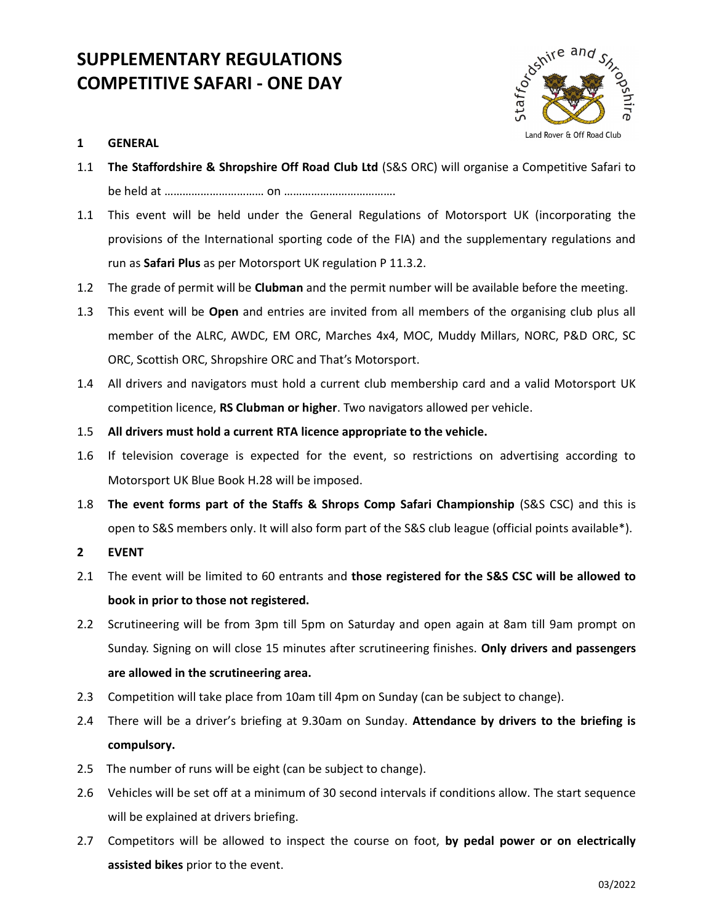# SUPPLEMENTARY REGULATIONS COMPETITIVE SAFARI - ONE DAY



# 1 GENERAL

- 1.1 The Staffordshire & Shropshire Off Road Club Ltd (S&S ORC) will organise a Competitive Safari to be held at …………………………… on ……………………………….
- 1.1 This event will be held under the General Regulations of Motorsport UK (incorporating the provisions of the International sporting code of the FIA) and the supplementary regulations and run as Safari Plus as per Motorsport UK regulation P 11.3.2.
- 1.2 The grade of permit will be Clubman and the permit number will be available before the meeting.
- 1.3 This event will be Open and entries are invited from all members of the organising club plus all member of the ALRC, AWDC, EM ORC, Marches 4x4, MOC, Muddy Millars, NORC, P&D ORC, SC ORC, Scottish ORC, Shropshire ORC and That's Motorsport.
- 1.4 All drivers and navigators must hold a current club membership card and a valid Motorsport UK competition licence, RS Clubman or higher. Two navigators allowed per vehicle.
- 1.5 All drivers must hold a current RTA licence appropriate to the vehicle.
- 1.6 If television coverage is expected for the event, so restrictions on advertising according to Motorsport UK Blue Book H.28 will be imposed.
- 1.8 The event forms part of the Staffs & Shrops Comp Safari Championship (S&S CSC) and this is open to S&S members only. It will also form part of the S&S club league (official points available\*).
- 2 EVENT
- 2.1 The event will be limited to 60 entrants and those registered for the S&S CSC will be allowed to book in prior to those not registered.
- 2.2 Scrutineering will be from 3pm till 5pm on Saturday and open again at 8am till 9am prompt on Sunday. Signing on will close 15 minutes after scrutineering finishes. Only drivers and passengers are allowed in the scrutineering area.
- 2.3 Competition will take place from 10am till 4pm on Sunday (can be subject to change).
- 2.4 There will be a driver's briefing at 9.30am on Sunday. Attendance by drivers to the briefing is compulsory.
- 2.5 The number of runs will be eight (can be subject to change).
- 2.6 Vehicles will be set off at a minimum of 30 second intervals if conditions allow. The start sequence will be explained at drivers briefing.
- 2.7 Competitors will be allowed to inspect the course on foot, by pedal power or on electrically assisted bikes prior to the event.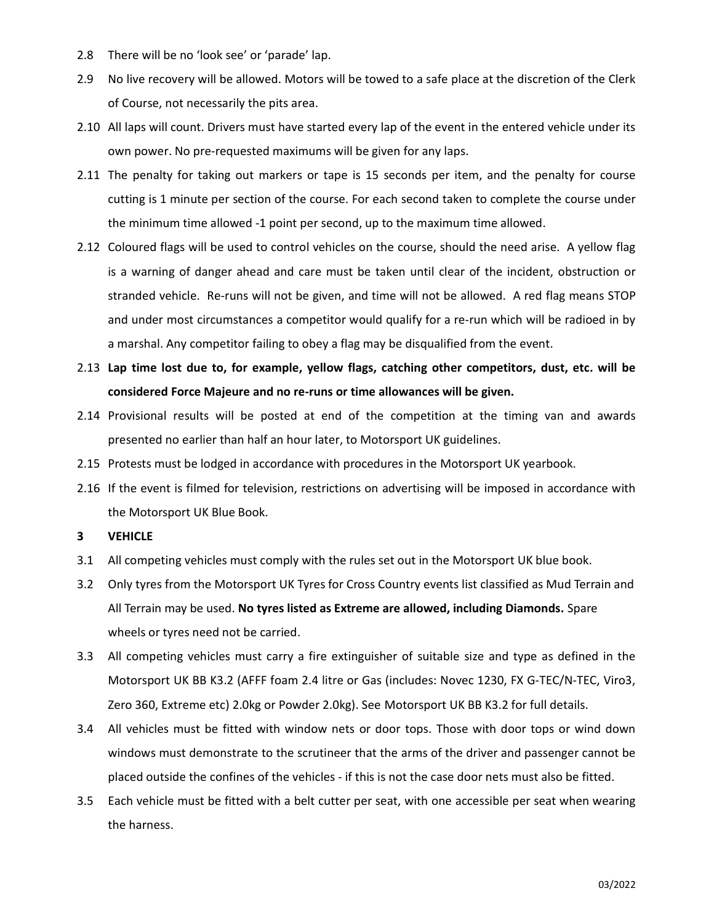- 2.8 There will be no 'look see' or 'parade' lap.
- 2.9 No live recovery will be allowed. Motors will be towed to a safe place at the discretion of the Clerk of Course, not necessarily the pits area.
- 2.10 All laps will count. Drivers must have started every lap of the event in the entered vehicle under its own power. No pre-requested maximums will be given for any laps.
- 2.11 The penalty for taking out markers or tape is 15 seconds per item, and the penalty for course cutting is 1 minute per section of the course. For each second taken to complete the course under the minimum time allowed -1 point per second, up to the maximum time allowed.
- 2.12 Coloured flags will be used to control vehicles on the course, should the need arise. A yellow flag is a warning of danger ahead and care must be taken until clear of the incident, obstruction or stranded vehicle. Re-runs will not be given, and time will not be allowed. A red flag means STOP and under most circumstances a competitor would qualify for a re-run which will be radioed in by a marshal. Any competitor failing to obey a flag may be disqualified from the event.
- 2.13 Lap time lost due to, for example, yellow flags, catching other competitors, dust, etc. will be considered Force Majeure and no re-runs or time allowances will be given.
- 2.14 Provisional results will be posted at end of the competition at the timing van and awards presented no earlier than half an hour later, to Motorsport UK guidelines.
- 2.15 Protests must be lodged in accordance with procedures in the Motorsport UK yearbook.
- 2.16 If the event is filmed for television, restrictions on advertising will be imposed in accordance with the Motorsport UK Blue Book.
- 3 VEHICLE
- 3.1 All competing vehicles must comply with the rules set out in the Motorsport UK blue book.
- 3.2 Only tyres from the Motorsport UK Tyres for Cross Country events list classified as Mud Terrain and All Terrain may be used. No tyres listed as Extreme are allowed, including Diamonds. Spare wheels or tyres need not be carried.
- 3.3 All competing vehicles must carry a fire extinguisher of suitable size and type as defined in the Motorsport UK BB K3.2 (AFFF foam 2.4 litre or Gas (includes: Novec 1230, FX G-TEC/N-TEC, Viro3, Zero 360, Extreme etc) 2.0kg or Powder 2.0kg). See Motorsport UK BB K3.2 for full details.
- 3.4 All vehicles must be fitted with window nets or door tops. Those with door tops or wind down windows must demonstrate to the scrutineer that the arms of the driver and passenger cannot be placed outside the confines of the vehicles - if this is not the case door nets must also be fitted.
- 3.5 Each vehicle must be fitted with a belt cutter per seat, with one accessible per seat when wearing the harness.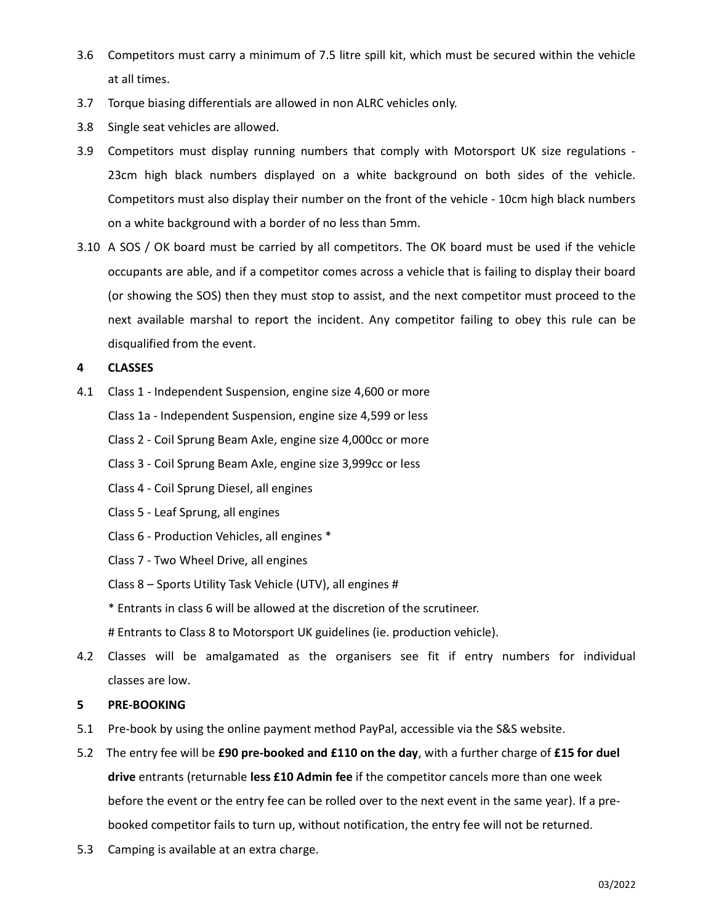- 3.6 Competitors must carry a minimum of 7.5 litre spill kit, which must be secured within the vehicle at all times.
- 3.7 Torque biasing differentials are allowed in non ALRC vehicles only.
- 3.8 Single seat vehicles are allowed.
- 3.9 Competitors must display running numbers that comply with Motorsport UK size regulations 23cm high black numbers displayed on a white background on both sides of the vehicle. Competitors must also display their number on the front of the vehicle - 10cm high black numbers on a white background with a border of no less than 5mm.
- 3.10 A SOS / OK board must be carried by all competitors. The OK board must be used if the vehicle occupants are able, and if a competitor comes across a vehicle that is failing to display their board (or showing the SOS) then they must stop to assist, and the next competitor must proceed to the next available marshal to report the incident. Any competitor failing to obey this rule can be disqualified from the event.

### 4 CLASSES

- 4.1 Class 1 Independent Suspension, engine size 4,600 or more
	- Class 1a Independent Suspension, engine size 4,599 or less
	- Class 2 Coil Sprung Beam Axle, engine size 4,000cc or more
	- Class 3 Coil Sprung Beam Axle, engine size 3,999cc or less
	- Class 4 Coil Sprung Diesel, all engines
	- Class 5 Leaf Sprung, all engines
	- Class 6 Production Vehicles, all engines \*
	- Class 7 Two Wheel Drive, all engines
	- Class 8 Sports Utility Task Vehicle (UTV), all engines #
	- \* Entrants in class 6 will be allowed at the discretion of the scrutineer.
	- # Entrants to Class 8 to Motorsport UK guidelines (ie. production vehicle).
- 4.2 Classes will be amalgamated as the organisers see fit if entry numbers for individual classes are low.

#### 5 PRE-BOOKING

- 5.1 Pre-book by using the online payment method PayPal, accessible via the S&S website.
- 5.2 The entry fee will be £90 pre-booked and £110 on the day, with a further charge of £15 for duel drive entrants (returnable less £10 Admin fee if the competitor cancels more than one week before the event or the entry fee can be rolled over to the next event in the same year). If a prebooked competitor fails to turn up, without notification, the entry fee will not be returned.
- 5.3 Camping is available at an extra charge.